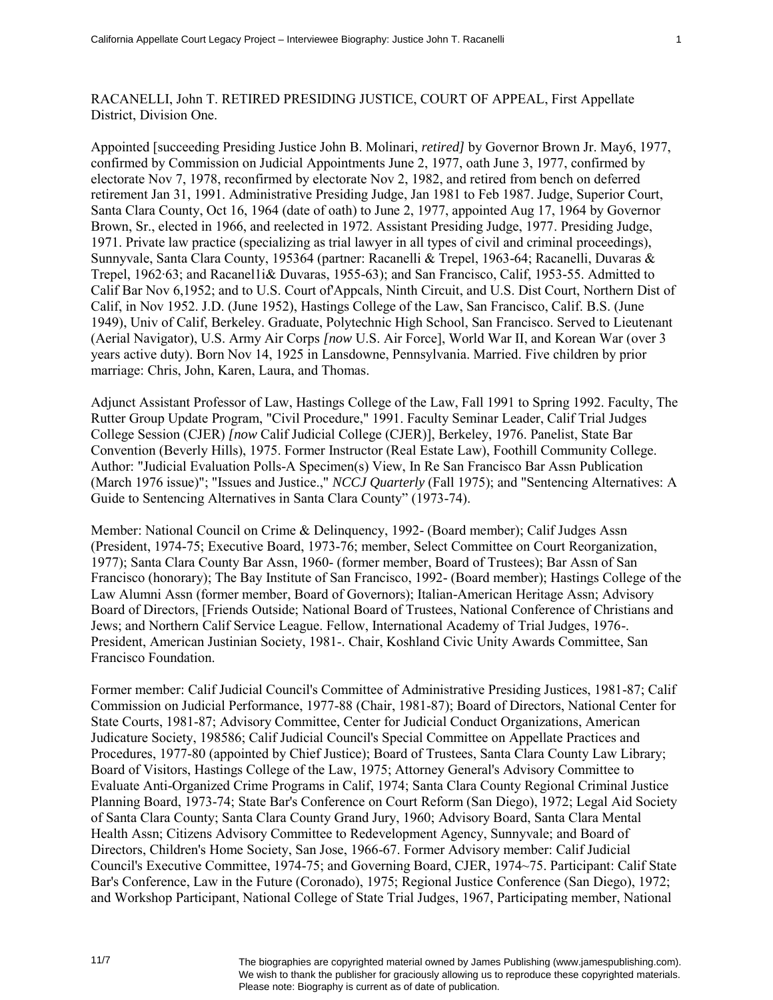## RACANELLI, John T. RETIRED PRESIDING JUSTICE, COURT OF APPEAL, First Appellate District, Division One.

Appointed [succeeding Presiding Justice John B. Molinari, *retired]* by Governor Brown Jr. May6, 1977, confirmed by Commission on Judicial Appointments June 2, 1977, oath June 3, 1977, confirmed by electorate Nov 7, 1978, reconfirmed by electorate Nov 2, 1982, and retired from bench on deferred retirement Jan 31, 1991. Administrative Presiding Judge, Jan 1981 to Feb 1987. Judge, Superior Court, Santa Clara County, Oct 16, 1964 (date of oath) to June 2, 1977, appointed Aug 17, 1964 by Governor Brown, Sr., elected in 1966, and reelected in 1972. Assistant Presiding Judge, 1977. Presiding Judge, 1971. Private law practice (specializing as trial lawyer in all types of civil and criminal proceedings), Sunnyvale, Santa Clara County, 195364 (partner: Racanelli & Trepel, 1963-64; Racanelli, Duvaras & Trepel, 1962·63; and Racanel1i& Duvaras, 1955-63); and San Francisco, Calif, 1953-55. Admitted to Calif Bar Nov 6,1952; and to U.S. Court of'Appcals, Ninth Circuit, and U.S. Dist Court, Northern Dist of Calif, in Nov 1952. J.D. (June 1952), Hastings College of the Law, San Francisco, Calif. B.S. (June 1949), Univ of Calif, Berkeley. Graduate, Polytechnic High School, San Francisco. Served to Lieutenant (Aerial Navigator), U.S. Army Air Corps *[now* U.S. Air Force], World War II, and Korean War (over 3 years active duty). Born Nov 14, 1925 in Lansdowne, Pennsylvania. Married. Five children by prior marriage: Chris, John, Karen, Laura, and Thomas.

Adjunct Assistant Professor of Law, Hastings College of the Law, Fall 1991 to Spring 1992. Faculty, The Rutter Group Update Program, "Civil Procedure," 1991. Faculty Seminar Leader, Calif Trial Judges College Session (CJER) *[now* Calif Judicial College (CJER)], Berkeley, 1976. Panelist, State Bar Convention (Beverly Hills), 1975. Former Instructor (Real Estate Law), Foothill Community College. Author: "Judicial Evaluation Polls-A Specimen(s) View, In Re San Francisco Bar Assn Publication (March 1976 issue)"; "Issues and Justice.," *NCCJ Quarterly* (Fall 1975); and "Sentencing Alternatives: A Guide to Sentencing Alternatives in Santa Clara County" (1973-74).

Member: National Council on Crime & Delinquency, 1992- (Board member); Calif Judges Assn (President, 1974-75; Executive Board, 1973-76; member, Select Committee on Court Reorganization, 1977); Santa Clara County Bar Assn, 1960- (former member, Board of Trustees); Bar Assn of San Francisco (honorary); The Bay Institute of San Francisco, 1992- (Board member); Hastings College of the Law Alumni Assn (former member, Board of Governors); Italian-American Heritage Assn; Advisory Board of Directors, [Friends Outside; National Board of Trustees, National Conference of Christians and Jews; and Northern Calif Service League. Fellow, International Academy of Trial Judges, 1976-. President, American Justinian Society, 1981-. Chair, Koshland Civic Unity Awards Committee, San Francisco Foundation.

Former member: Calif Judicial Council's Committee of Administrative Presiding Justices, 1981-87; Calif Commission on Judicial Performance, 1977-88 (Chair, 1981-87); Board of Directors, National Center for State Courts, 1981-87; Advisory Committee, Center for Judicial Conduct Organizations, American Judicature Society, 198586; Calif Judicial Council's Special Committee on Appellate Practices and Procedures, 1977-80 (appointed by Chief Justice); Board of Trustees, Santa Clara County Law Library; Board of Visitors, Hastings College of the Law, 1975; Attorney General's Advisory Committee to Evaluate Anti-Organized Crime Programs in Calif, 1974; Santa Clara County Regional Criminal Justice Planning Board, 1973-74; State Bar's Conference on Court Reform (San Diego), 1972; Legal Aid Society of Santa Clara County; Santa Clara County Grand Jury, 1960; Advisory Board, Santa Clara Mental Health Assn; Citizens Advisory Committee to Redevelopment Agency, Sunnyvale; and Board of Directors, Children's Home Society, San Jose, 1966-67. Former Advisory member: Calif Judicial Council's Executive Committee, 1974-75; and Governing Board, CJER, 1974~75. Participant: Calif State Bar's Conference, Law in the Future (Coronado), 1975; Regional Justice Conference (San Diego), 1972; and Workshop Participant, National College of State Trial Judges, 1967, Participating member, National